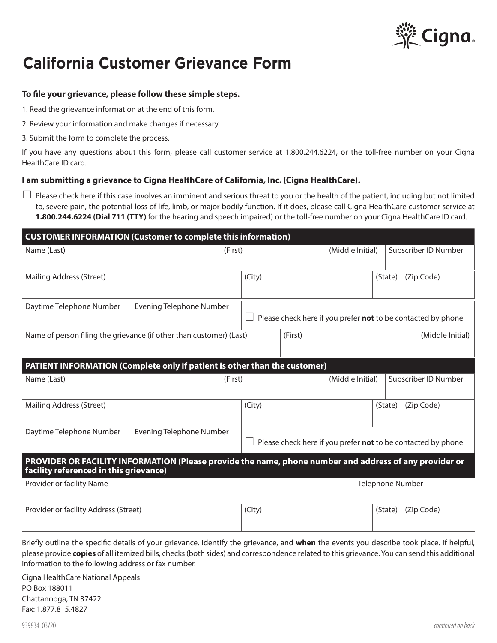

## **California Customer Grievance Form**

## **To file your grievance, please follow these simple steps.**

- 1. Read the grievance information at the end of this form.
- 2. Review your information and make changes if necessary.
- 3. Submit the form to complete the process.

If you have any questions about this form, please call customer service at 1.800.244.6224, or the toll-free number on your Cigna HealthCare ID card.

## **I am submitting a grievance to Cigna HealthCare of California, Inc. (Cigna HealthCare).**

 $\Box$  Please check here if this case involves an imminent and serious threat to you or the health of the patient, including but not limited to, severe pain, the potential loss of life, limb, or major bodily function. If it does, please call Cigna HealthCare customer service at **1.800.244.6224 (Dial 711 (TTY)** for the hearing and speech impaired) or the toll-free number on your Cigna HealthCare ID card.

| <b>CUSTOMER INFORMATION (Customer to complete this information)</b>                                                                              |                                 |         |                                                              |                  |                  |         |                      |                      |  |
|--------------------------------------------------------------------------------------------------------------------------------------------------|---------------------------------|---------|--------------------------------------------------------------|------------------|------------------|---------|----------------------|----------------------|--|
| Name (Last)                                                                                                                                      |                                 | (First) |                                                              | (Middle Initial) |                  |         | Subscriber ID Number |                      |  |
| <b>Mailing Address (Street)</b>                                                                                                                  |                                 |         | (City)                                                       |                  |                  | (State) |                      | (Zip Code)           |  |
| Daytime Telephone Number                                                                                                                         | <b>Evening Telephone Number</b> |         | Please check here if you prefer not to be contacted by phone |                  |                  |         |                      |                      |  |
| Name of person filing the grievance (if other than customer) (Last)                                                                              |                                 |         |                                                              | (First)          |                  |         |                      | (Middle Initial)     |  |
| PATIENT INFORMATION (Complete only if patient is other than the customer)                                                                        |                                 |         |                                                              |                  |                  |         |                      |                      |  |
| Name (Last)                                                                                                                                      | (First)                         |         |                                                              |                  | (Middle Initial) |         |                      | Subscriber ID Number |  |
| Mailing Address (Street)                                                                                                                         |                                 |         | (City)                                                       |                  |                  | (State) |                      | (Zip Code)           |  |
| Daytime Telephone Number                                                                                                                         | <b>Evening Telephone Number</b> |         | Please check here if you prefer not to be contacted by phone |                  |                  |         |                      |                      |  |
| PROVIDER OR FACILITY INFORMATION (Please provide the name, phone number and address of any provider or<br>facility referenced in this grievance) |                                 |         |                                                              |                  |                  |         |                      |                      |  |
| Provider or facility Name                                                                                                                        |                                 |         | <b>Telephone Number</b>                                      |                  |                  |         |                      |                      |  |
| Provider or facility Address (Street)                                                                                                            |                                 |         | (City)                                                       |                  | (State)          |         | (Zip Code)           |                      |  |

Briefly outline the specific details of your grievance. Identify the grievance, and **when** the events you describe took place. If helpful, please provide **copies** of all itemized bills, checks (both sides) and correspondence related to this grievance. You can send this additional information to the following address or fax number.

Cigna HealthCare National Appeals PO Box 188011 Chattanooga, TN 37422 Fax: 1.877.815.4827